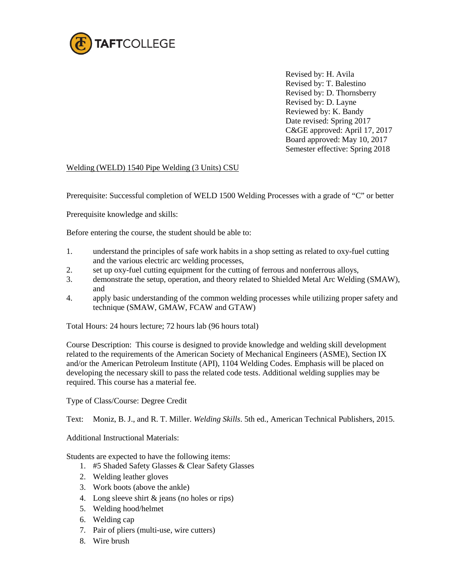

Revised by: H. Avila Revised by: T. Balestino Revised by: D. Thornsberry Revised by: D. Layne Reviewed by: K. Bandy Date revised: Spring 2017 C&GE approved: April 17, 2017 Board approved: May 10, 2017 Semester effective: Spring 2018

## Welding (WELD) 1540 Pipe Welding (3 Units) CSU

Prerequisite: Successful completion of WELD 1500 Welding Processes with a grade of "C" or better

Prerequisite knowledge and skills:

Before entering the course, the student should be able to:

- 1. understand the principles of safe work habits in a shop setting as related to oxy-fuel cutting and the various electric arc welding processes,
- 2. set up oxy-fuel cutting equipment for the cutting of ferrous and nonferrous alloys,
- 3. demonstrate the setup, operation, and theory related to Shielded Metal Arc Welding (SMAW), and
- 4. apply basic understanding of the common welding processes while utilizing proper safety and technique (SMAW, GMAW, FCAW and GTAW)

Total Hours: 24 hours lecture; 72 hours lab (96 hours total)

Course Description: This course is designed to provide knowledge and welding skill development related to the requirements of the American Society of Mechanical Engineers (ASME), Section IX and/or the American Petroleum Institute (API), 1104 Welding Codes. Emphasis will be placed on developing the necessary skill to pass the related code tests. Additional welding supplies may be required. This course has a material fee.

Type of Class/Course: Degree Credit

Text: Moniz, B. J., and R. T. Miller. *Welding Skills*. 5th ed., American Technical Publishers, 2015.

Additional Instructional Materials:

Students are expected to have the following items:

- 1. #5 Shaded Safety Glasses & Clear Safety Glasses
- 2. Welding leather gloves
- 3. Work boots (above the ankle)
- 4. Long sleeve shirt & jeans (no holes or rips)
- 5. Welding hood/helmet
- 6. Welding cap
- 7. Pair of pliers (multi-use, wire cutters)
- 8. Wire brush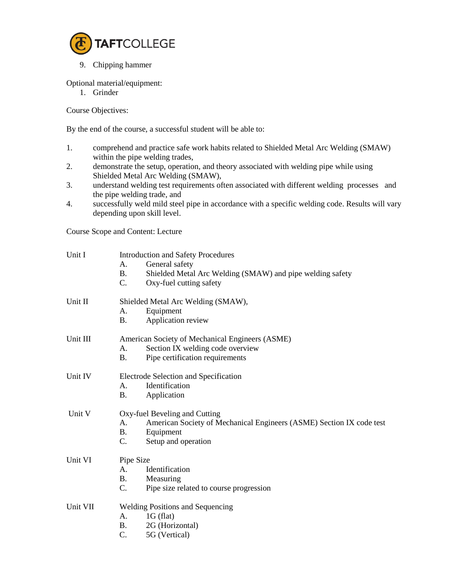

9. Chipping hammer

Optional material/equipment:

1. Grinder

Course Objectives:

By the end of the course, a successful student will be able to:

- 1. comprehend and practice safe work habits related to Shielded Metal Arc Welding (SMAW) within the pipe welding trades,
- 2. demonstrate the setup, operation, and theory associated with welding pipe while using Shielded Metal Arc Welding (SMAW),
- 3. understand welding test requirements often associated with different welding processes and the pipe welding trade, and
- 4. successfully weld mild steel pipe in accordance with a specific welding code. Results will vary depending upon skill level.

Course Scope and Content: Lecture

| General safety<br>А.<br><b>B.</b><br>Shielded Metal Arc Welding (SMAW) and pipe welding safety<br>$C_{\cdot}$<br>Oxy-fuel cutting safety<br>Shielded Metal Arc Welding (SMAW),<br>Equipment<br>А.<br><b>B.</b><br>Application review<br>American Society of Mechanical Engineers (ASME)<br>Section IX welding code overview<br>A.<br>Pipe certification requirements<br><b>B.</b><br>Electrode Selection and Specification<br>Identification<br>$A_{\cdot}$<br>Application<br><b>B.</b><br>Unit V<br>Oxy-fuel Beveling and Cutting<br>American Society of Mechanical Engineers (ASME) Section IX code test<br>A.<br><b>B.</b><br>Equipment<br>C.<br>Setup and operation<br>Pipe Size<br>Identification<br>А.<br><b>B.</b><br>Measuring<br>Pipe size related to course progression<br>C.<br><b>Welding Positions and Sequencing</b><br>$1G$ (flat)<br>А.<br><b>B.</b><br>2G (Horizontal)<br>C.<br>5G (Vertical) | Unit I   | <b>Introduction and Safety Procedures</b> |  |  |
|----------------------------------------------------------------------------------------------------------------------------------------------------------------------------------------------------------------------------------------------------------------------------------------------------------------------------------------------------------------------------------------------------------------------------------------------------------------------------------------------------------------------------------------------------------------------------------------------------------------------------------------------------------------------------------------------------------------------------------------------------------------------------------------------------------------------------------------------------------------------------------------------------------------|----------|-------------------------------------------|--|--|
|                                                                                                                                                                                                                                                                                                                                                                                                                                                                                                                                                                                                                                                                                                                                                                                                                                                                                                                |          |                                           |  |  |
|                                                                                                                                                                                                                                                                                                                                                                                                                                                                                                                                                                                                                                                                                                                                                                                                                                                                                                                |          |                                           |  |  |
|                                                                                                                                                                                                                                                                                                                                                                                                                                                                                                                                                                                                                                                                                                                                                                                                                                                                                                                |          |                                           |  |  |
|                                                                                                                                                                                                                                                                                                                                                                                                                                                                                                                                                                                                                                                                                                                                                                                                                                                                                                                | Unit II  |                                           |  |  |
|                                                                                                                                                                                                                                                                                                                                                                                                                                                                                                                                                                                                                                                                                                                                                                                                                                                                                                                |          |                                           |  |  |
|                                                                                                                                                                                                                                                                                                                                                                                                                                                                                                                                                                                                                                                                                                                                                                                                                                                                                                                |          |                                           |  |  |
|                                                                                                                                                                                                                                                                                                                                                                                                                                                                                                                                                                                                                                                                                                                                                                                                                                                                                                                | Unit III |                                           |  |  |
|                                                                                                                                                                                                                                                                                                                                                                                                                                                                                                                                                                                                                                                                                                                                                                                                                                                                                                                |          |                                           |  |  |
|                                                                                                                                                                                                                                                                                                                                                                                                                                                                                                                                                                                                                                                                                                                                                                                                                                                                                                                |          |                                           |  |  |
|                                                                                                                                                                                                                                                                                                                                                                                                                                                                                                                                                                                                                                                                                                                                                                                                                                                                                                                | Unit IV  |                                           |  |  |
|                                                                                                                                                                                                                                                                                                                                                                                                                                                                                                                                                                                                                                                                                                                                                                                                                                                                                                                |          |                                           |  |  |
|                                                                                                                                                                                                                                                                                                                                                                                                                                                                                                                                                                                                                                                                                                                                                                                                                                                                                                                |          |                                           |  |  |
|                                                                                                                                                                                                                                                                                                                                                                                                                                                                                                                                                                                                                                                                                                                                                                                                                                                                                                                |          |                                           |  |  |
|                                                                                                                                                                                                                                                                                                                                                                                                                                                                                                                                                                                                                                                                                                                                                                                                                                                                                                                |          |                                           |  |  |
|                                                                                                                                                                                                                                                                                                                                                                                                                                                                                                                                                                                                                                                                                                                                                                                                                                                                                                                |          |                                           |  |  |
|                                                                                                                                                                                                                                                                                                                                                                                                                                                                                                                                                                                                                                                                                                                                                                                                                                                                                                                |          |                                           |  |  |
|                                                                                                                                                                                                                                                                                                                                                                                                                                                                                                                                                                                                                                                                                                                                                                                                                                                                                                                | Unit VI  |                                           |  |  |
|                                                                                                                                                                                                                                                                                                                                                                                                                                                                                                                                                                                                                                                                                                                                                                                                                                                                                                                |          |                                           |  |  |
|                                                                                                                                                                                                                                                                                                                                                                                                                                                                                                                                                                                                                                                                                                                                                                                                                                                                                                                |          |                                           |  |  |
|                                                                                                                                                                                                                                                                                                                                                                                                                                                                                                                                                                                                                                                                                                                                                                                                                                                                                                                |          |                                           |  |  |
|                                                                                                                                                                                                                                                                                                                                                                                                                                                                                                                                                                                                                                                                                                                                                                                                                                                                                                                | Unit VII |                                           |  |  |
|                                                                                                                                                                                                                                                                                                                                                                                                                                                                                                                                                                                                                                                                                                                                                                                                                                                                                                                |          |                                           |  |  |
|                                                                                                                                                                                                                                                                                                                                                                                                                                                                                                                                                                                                                                                                                                                                                                                                                                                                                                                |          |                                           |  |  |
|                                                                                                                                                                                                                                                                                                                                                                                                                                                                                                                                                                                                                                                                                                                                                                                                                                                                                                                |          |                                           |  |  |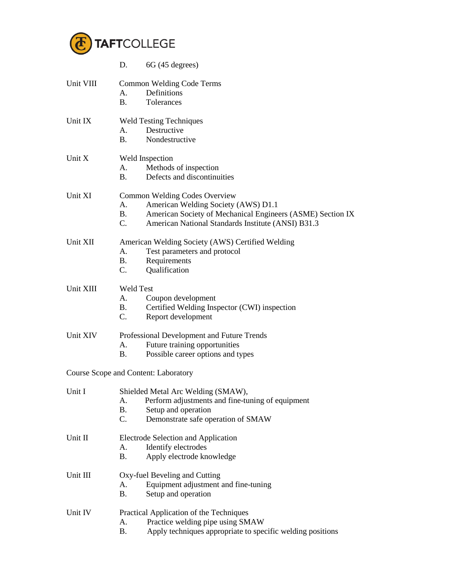

|           | 6G (45 degrees)<br>D.                                                   |  |  |
|-----------|-------------------------------------------------------------------------|--|--|
| Unit VIII | <b>Common Welding Code Terms</b>                                        |  |  |
|           | Definitions<br>А.                                                       |  |  |
|           | <b>B.</b><br>Tolerances                                                 |  |  |
|           |                                                                         |  |  |
| Unit IX   | <b>Weld Testing Techniques</b>                                          |  |  |
|           | Destructive<br>А.                                                       |  |  |
|           | <b>B.</b><br>Nondestructive                                             |  |  |
| Unit X    | Weld Inspection                                                         |  |  |
|           | Methods of inspection<br>А.                                             |  |  |
|           | <b>B</b> .<br>Defects and discontinuities                               |  |  |
| Unit XI   | <b>Common Welding Codes Overview</b>                                    |  |  |
|           | American Welding Society (AWS) D1.1<br>А.                               |  |  |
|           | American Society of Mechanical Engineers (ASME) Section IX<br><b>B.</b> |  |  |
|           | $C_{\cdot}$<br>American National Standards Institute (ANSI) B31.3       |  |  |
|           |                                                                         |  |  |
| Unit XII  | American Welding Society (AWS) Certified Welding                        |  |  |
|           | Test parameters and protocol<br>А.                                      |  |  |
|           | <b>B.</b><br>Requirements                                               |  |  |
|           | C.<br>Qualification                                                     |  |  |
| Unit XIII | <b>Weld Test</b>                                                        |  |  |
|           | Coupon development<br>А.                                                |  |  |
|           | Certified Welding Inspector (CWI) inspection<br><b>B.</b>               |  |  |
|           | $C_{\cdot}$<br>Report development                                       |  |  |
| Unit XIV  | Professional Development and Future Trends                              |  |  |
|           | Future training opportunities<br>А.                                     |  |  |
|           | Possible career options and types<br>B.                                 |  |  |
|           | <b>Course Scope and Content: Laboratory</b>                             |  |  |
| Unit I    | Shielded Metal Arc Welding (SMAW),                                      |  |  |
|           | Perform adjustments and fine-tuning of equipment<br>A.                  |  |  |
|           | <b>B.</b><br>Setup and operation                                        |  |  |
|           | C.<br>Demonstrate safe operation of SMAW                                |  |  |
|           |                                                                         |  |  |
| Unit II   | Electrode Selection and Application                                     |  |  |
|           | Identify electrodes<br>А.                                               |  |  |
|           | <b>B.</b><br>Apply electrode knowledge                                  |  |  |
| Unit III  | Oxy-fuel Beveling and Cutting                                           |  |  |
|           | Equipment adjustment and fine-tuning<br>А.                              |  |  |
|           | Β.<br>Setup and operation                                               |  |  |
| Unit IV   | Practical Application of the Techniques                                 |  |  |
|           | Practice welding pipe using SMAW<br>A.                                  |  |  |
|           | Apply techniques appropriate to specific welding positions<br><b>B.</b> |  |  |
|           |                                                                         |  |  |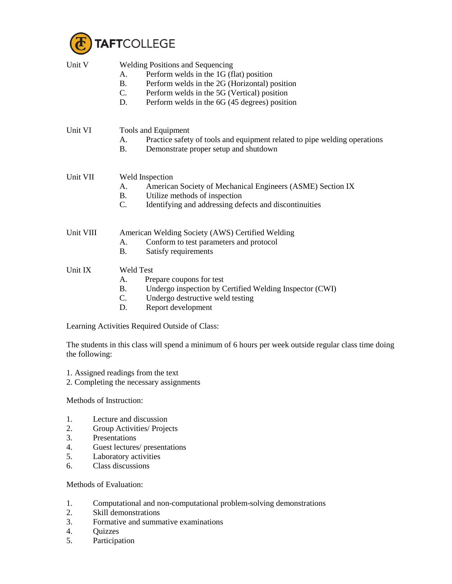

| Unit V    | <b>Welding Positions and Sequencing</b><br>Perform welds in the 1G (flat) position<br>А.<br>Perform welds in the 2G (Horizontal) position<br><b>B.</b><br>Perform welds in the 5G (Vertical) position<br>$C_{\cdot}$<br>Perform welds in the 6G (45 degrees) position<br>D. |  |
|-----------|-----------------------------------------------------------------------------------------------------------------------------------------------------------------------------------------------------------------------------------------------------------------------------|--|
| Unit VI   | Tools and Equipment<br>Practice safety of tools and equipment related to pipe welding operations<br>Α.<br><b>B.</b><br>Demonstrate proper setup and shutdown                                                                                                                |  |
| Unit VII  | Weld Inspection<br>American Society of Mechanical Engineers (ASME) Section IX<br>А.<br>Utilize methods of inspection<br><b>B.</b><br>Identifying and addressing defects and discontinuities<br>C.                                                                           |  |
| Unit VIII | American Welding Society (AWS) Certified Welding<br>Conform to test parameters and protocol<br>А.<br>Satisfy requirements<br>Β.                                                                                                                                             |  |
| Unit IX   | <b>Weld Test</b><br>Prepare coupons for test<br>А.<br>Undergo inspection by Certified Welding Inspector (CWI)<br><b>B.</b><br>$C_{\cdot}$<br>Undergo destructive weld testing<br>Report development<br>D.                                                                   |  |
|           | Learning Activities Required Outside of Class:                                                                                                                                                                                                                              |  |

The students in this class will spend a minimum of 6 hours per week outside regular class time doing the following:

- 1. Assigned readings from the text
- 2. Completing the necessary assignments

Methods of Instruction:

- 1. Lecture and discussion
- 2. Group Activities/ Projects
- 3. Presentations<br>4. Guest lectures
- 4. Guest lectures/ presentations<br>5. Laboratory activities
- Laboratory activities
- 6. Class discussions

Methods of Evaluation:

- 1. Computational and non-computational problem-solving demonstrations
- 2. Skill demonstrations<br>3. Formative and summ
- 3. Formative and summative examinations
- 4. Quizzes<br>5. Participa
- Participation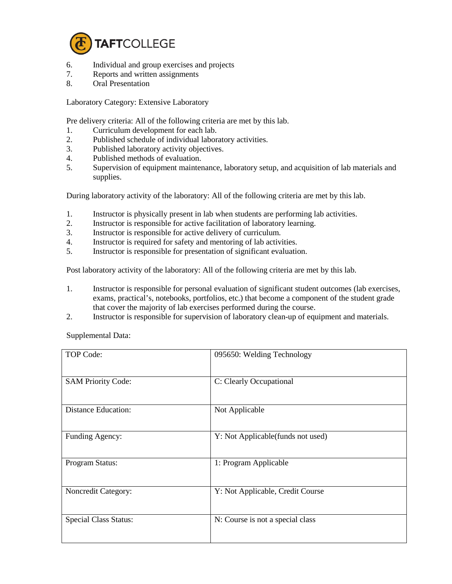

- 6. Individual and group exercises and projects<br>7. Reports and written assignments
- Reports and written assignments
- 8. Oral Presentation

Laboratory Category: Extensive Laboratory

Pre delivery criteria: All of the following criteria are met by this lab.

- 1. Curriculum development for each lab.
- 2. Published schedule of individual laboratory activities.
- 3. Published laboratory activity objectives.
- 4. Published methods of evaluation.
- 5. Supervision of equipment maintenance, laboratory setup, and acquisition of lab materials and supplies.

During laboratory activity of the laboratory: All of the following criteria are met by this lab.

- 1. Instructor is physically present in lab when students are performing lab activities.
- 2. Instructor is responsible for active facilitation of laboratory learning.
- 3. Instructor is responsible for active delivery of curriculum.
- 4. Instructor is required for safety and mentoring of lab activities.<br>5. Instructor is responsible for presentation of significant evaluation
- 5. Instructor is responsible for presentation of significant evaluation.

Post laboratory activity of the laboratory: All of the following criteria are met by this lab.

- 1. Instructor is responsible for personal evaluation of significant student outcomes (lab exercises, exams, practical's, notebooks, portfolios, etc.) that become a component of the student grade that cover the majority of lab exercises performed during the course.
- 2. Instructor is responsible for supervision of laboratory clean-up of equipment and materials.

Supplemental Data:

| TOP Code:                    | 095650: Welding Technology        |
|------------------------------|-----------------------------------|
| <b>SAM Priority Code:</b>    | C: Clearly Occupational           |
| <b>Distance Education:</b>   | Not Applicable                    |
| Funding Agency:              | Y: Not Applicable(funds not used) |
| Program Status:              | 1: Program Applicable             |
| Noncredit Category:          | Y: Not Applicable, Credit Course  |
| <b>Special Class Status:</b> | N: Course is not a special class  |